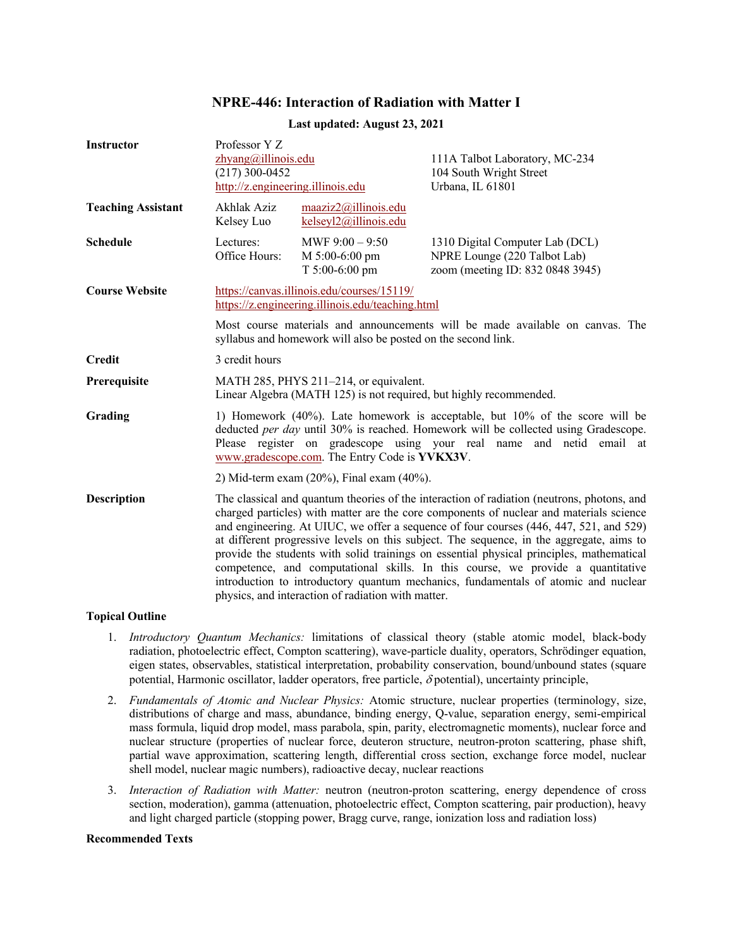# **NPRE-446: Interaction of Radiation with Matter I**

| <b>Instructor</b>         | Professor Y Z<br>zhyang@illinois.edu<br>$(217)$ 300-0452<br>http://z.engineering.illinois.edu                                                                                                                                                                                                                                                                                                                                                                                                                                                                                                                                                                                                          |                                                         | 111A Talbot Laboratory, MC-234<br>104 South Wright Street<br>Urbana, IL 61801                       |
|---------------------------|--------------------------------------------------------------------------------------------------------------------------------------------------------------------------------------------------------------------------------------------------------------------------------------------------------------------------------------------------------------------------------------------------------------------------------------------------------------------------------------------------------------------------------------------------------------------------------------------------------------------------------------------------------------------------------------------------------|---------------------------------------------------------|-----------------------------------------------------------------------------------------------------|
| <b>Teaching Assistant</b> | Akhlak Aziz<br>Kelsey Luo                                                                                                                                                                                                                                                                                                                                                                                                                                                                                                                                                                                                                                                                              | maaziz2@illinois.edu<br>kelseyl2@illinois.edu           |                                                                                                     |
| <b>Schedule</b>           | Lectures:<br>Office Hours:                                                                                                                                                                                                                                                                                                                                                                                                                                                                                                                                                                                                                                                                             | MWF $9:00 - 9:50$<br>M 5:00-6:00 pm<br>$T 5:00-6:00$ pm | 1310 Digital Computer Lab (DCL)<br>NPRE Lounge (220 Talbot Lab)<br>zoom (meeting ID: 832 0848 3945) |
| <b>Course Website</b>     | https://canvas.illinois.edu/courses/15119/<br>https://z.engineering.illinois.edu/teaching.html                                                                                                                                                                                                                                                                                                                                                                                                                                                                                                                                                                                                         |                                                         |                                                                                                     |
|                           | Most course materials and announcements will be made available on canvas. The<br>syllabus and homework will also be posted on the second link.                                                                                                                                                                                                                                                                                                                                                                                                                                                                                                                                                         |                                                         |                                                                                                     |
| <b>Credit</b>             | 3 credit hours                                                                                                                                                                                                                                                                                                                                                                                                                                                                                                                                                                                                                                                                                         |                                                         |                                                                                                     |
| Prerequisite              | MATH 285, PHYS 211-214, or equivalent.<br>Linear Algebra (MATH 125) is not required, but highly recommended.                                                                                                                                                                                                                                                                                                                                                                                                                                                                                                                                                                                           |                                                         |                                                                                                     |
| Grading                   | 1) Homework (40%). Late homework is acceptable, but 10% of the score will be<br>deducted <i>per day</i> until 30% is reached. Homework will be collected using Gradescope.<br>Please register on gradescope using your real name and netid email at<br>www.gradescope.com. The Entry Code is YVKX3V.                                                                                                                                                                                                                                                                                                                                                                                                   |                                                         |                                                                                                     |
|                           | 2) Mid-term exam $(20\%)$ , Final exam $(40\%)$ .                                                                                                                                                                                                                                                                                                                                                                                                                                                                                                                                                                                                                                                      |                                                         |                                                                                                     |
| <b>Description</b>        | The classical and quantum theories of the interaction of radiation (neutrons, photons, and<br>charged particles) with matter are the core components of nuclear and materials science<br>and engineering. At UIUC, we offer a sequence of four courses (446, 447, 521, and 529)<br>at different progressive levels on this subject. The sequence, in the aggregate, aims to<br>provide the students with solid trainings on essential physical principles, mathematical<br>competence, and computational skills. In this course, we provide a quantitative<br>introduction to introductory quantum mechanics, fundamentals of atomic and nuclear<br>physics, and interaction of radiation with matter. |                                                         |                                                                                                     |

#### **Last updated: August 23, 2021**

#### **Topical Outline**

- 1. *Introductory Quantum Mechanics:* limitations of classical theory (stable atomic model, black-body radiation, photoelectric effect, Compton scattering), wave-particle duality, operators, Schrödinger equation, eigen states, observables, statistical interpretation, probability conservation, bound/unbound states (square potential, Harmonic oscillator, ladder operators, free particle,  $\delta$  potential), uncertainty principle,
- 2. *Fundamentals of Atomic and Nuclear Physics:* Atomic structure, nuclear properties (terminology, size, distributions of charge and mass, abundance, binding energy, Q-value, separation energy, semi-empirical mass formula, liquid drop model, mass parabola, spin, parity, electromagnetic moments), nuclear force and nuclear structure (properties of nuclear force, deuteron structure, neutron-proton scattering, phase shift, partial wave approximation, scattering length, differential cross section, exchange force model, nuclear shell model, nuclear magic numbers), radioactive decay, nuclear reactions
- 3. *Interaction of Radiation with Matter:* neutron (neutron-proton scattering, energy dependence of cross section, moderation), gamma (attenuation, photoelectric effect, Compton scattering, pair production), heavy and light charged particle (stopping power, Bragg curve, range, ionization loss and radiation loss)

#### **Recommended Texts**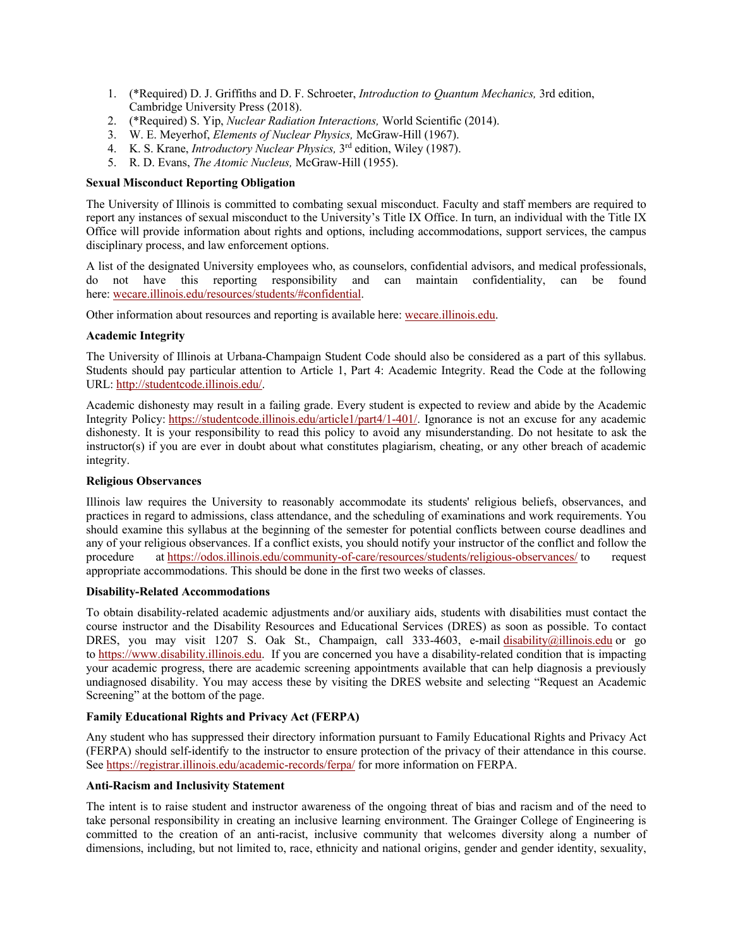- 1. (\*Required) D. J. Griffiths and D. F. Schroeter, *Introduction to Quantum Mechanics,* 3rd edition, Cambridge University Press (2018).
- 2. (\*Required) S. Yip, *Nuclear Radiation Interactions,* World Scientific (2014).
- 3. W. E. Meyerhof, *Elements of Nuclear Physics,* McGraw-Hill (1967).
- 4. K. S. Krane, *Introductory Nuclear Physics,* 3rd edition, Wiley (1987).
- 5. R. D. Evans, *The Atomic Nucleus,* McGraw-Hill (1955).

#### **Sexual Misconduct Reporting Obligation**

The University of Illinois is committed to combating sexual misconduct. Faculty and staff members are required to report any instances of sexual misconduct to the University's Title IX Office. In turn, an individual with the Title IX Office will provide information about rights and options, including accommodations, support services, the campus disciplinary process, and law enforcement options.

A list of the designated University employees who, as counselors, confidential advisors, and medical professionals, do not have this reporting responsibility and can maintain confidentiality, can be found here: wecare.illinois.edu/resources/students/#confidential.

Other information about resources and reporting is available here: wecare.illinois.edu.

# **Academic Integrity**

The University of Illinois at Urbana-Champaign Student Code should also be considered as a part of this syllabus. Students should pay particular attention to Article 1, Part 4: Academic Integrity. Read the Code at the following URL: http://studentcode.illinois.edu/.

Academic dishonesty may result in a failing grade. Every student is expected to review and abide by the Academic Integrity Policy: https://studentcode.illinois.edu/article1/part4/1-401/. Ignorance is not an excuse for any academic dishonesty. It is your responsibility to read this policy to avoid any misunderstanding. Do not hesitate to ask the instructor(s) if you are ever in doubt about what constitutes plagiarism, cheating, or any other breach of academic integrity.

# **Religious Observances**

Illinois law requires the University to reasonably accommodate its students' religious beliefs, observances, and practices in regard to admissions, class attendance, and the scheduling of examinations and work requirements. You should examine this syllabus at the beginning of the semester for potential conflicts between course deadlines and any of your religious observances. If a conflict exists, you should notify your instructor of the conflict and follow the procedure at https://odos.illinois.edu/community-of-care/resources/students/religious-observances/ to request appropriate accommodations. This should be done in the first two weeks of classes.

# **Disability-Related Accommodations**

To obtain disability-related academic adjustments and/or auxiliary aids, students with disabilities must contact the course instructor and the Disability Resources and Educational Services (DRES) as soon as possible. To contact DRES, you may visit 1207 S. Oak St., Champaign, call 333-4603, e-mail disability@illinois.edu or go to https://www.disability.illinois.edu. If you are concerned you have a disability-related condition that is impacting your academic progress, there are academic screening appointments available that can help diagnosis a previously undiagnosed disability. You may access these by visiting the DRES website and selecting "Request an Academic Screening" at the bottom of the page.

# **Family Educational Rights and Privacy Act (FERPA)**

Any student who has suppressed their directory information pursuant to Family Educational Rights and Privacy Act (FERPA) should self-identify to the instructor to ensure protection of the privacy of their attendance in this course. See https://registrar.illinois.edu/academic-records/ferpa/ for more information on FERPA.

# **Anti-Racism and Inclusivity Statement**

The intent is to raise student and instructor awareness of the ongoing threat of bias and racism and of the need to take personal responsibility in creating an inclusive learning environment. The Grainger College of Engineering is committed to the creation of an anti-racist, inclusive community that welcomes diversity along a number of dimensions, including, but not limited to, race, ethnicity and national origins, gender and gender identity, sexuality,